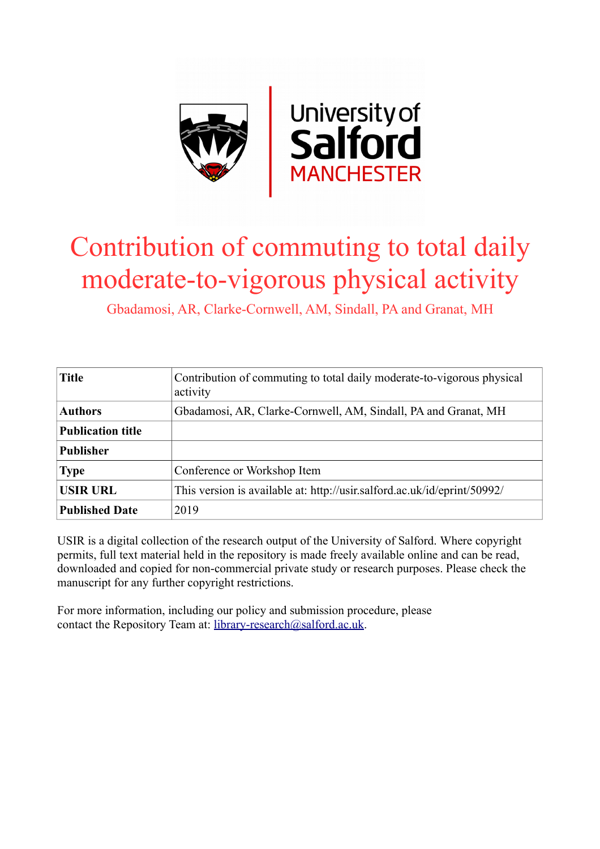

## Contribution of commuting to total daily moderate-to-vigorous physical activity

Gbadamosi, AR, Clarke-Cornwell, AM, Sindall, PA and Granat, MH

| <b>Title</b>             | Contribution of commuting to total daily moderate-to-vigorous physical<br>activity |
|--------------------------|------------------------------------------------------------------------------------|
| <b>Authors</b>           | Gbadamosi, AR, Clarke-Cornwell, AM, Sindall, PA and Granat, MH                     |
| <b>Publication title</b> |                                                                                    |
| <b>Publisher</b>         |                                                                                    |
| <b>Type</b>              | Conference or Workshop Item                                                        |
| <b>USIR URL</b>          | This version is available at: http://usir.salford.ac.uk/id/eprint/50992/           |
| <b>Published Date</b>    | 2019                                                                               |

USIR is a digital collection of the research output of the University of Salford. Where copyright permits, full text material held in the repository is made freely available online and can be read, downloaded and copied for non-commercial private study or research purposes. Please check the manuscript for any further copyright restrictions.

For more information, including our policy and submission procedure, please contact the Repository Team at: [library-research@salford.ac.uk.](mailto:library-research@salford.ac.uk)